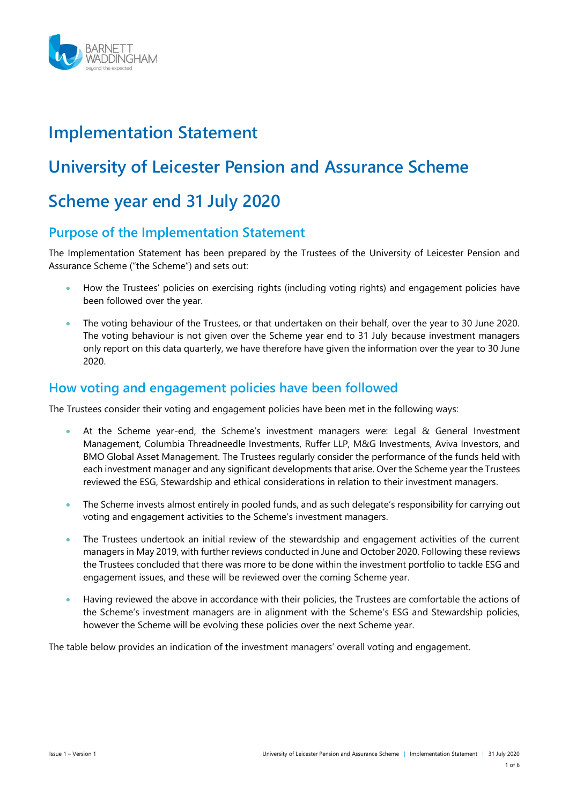

# **Implementation Statement**

# **University of Leicester Pension and Assurance Scheme**

# **Scheme year end 31 July 2020**

# **Purpose of the Implementation Statement**

The Implementation Statement has been prepared by the Trustees of the University of Leicester Pension and Assurance Scheme ("the Scheme") and sets out:

- How the Trustees' policies on exercising rights (including voting rights) and engagement policies have been followed over the year.
- The voting behaviour of the Trustees, or that undertaken on their behalf, over the year to 30 June 2020. The voting behaviour is not given over the Scheme year end to 31 July because investment managers only report on this data quarterly, we have therefore have given the information over the year to 30 June 2020.

# **How voting and engagement policies have been followed**

The Trustees consider their voting and engagement policies have been met in the following ways:

- At the Scheme year-end, the Scheme's investment managers were: Legal & General Investment Management, Columbia Threadneedle Investments, Ruffer LLP, M&G Investments, Aviva Investors, and BMO Global Asset Management. The Trustees regularly consider the performance of the funds held with each investment manager and any significant developments that arise. Over the Scheme year the Trustees reviewed the ESG, Stewardship and ethical considerations in relation to their investment managers.
- The Scheme invests almost entirely in pooled funds, and as such delegate's responsibility for carrying out voting and engagement activities to the Scheme's investment managers.
- The Trustees undertook an initial review of the stewardship and engagement activities of the current managers in May 2019, with further reviews conducted in June and October 2020. Following these reviews the Trustees concluded that there was more to be done within the investment portfolio to tackle ESG and engagement issues, and these will be reviewed over the coming Scheme year.
- Having reviewed the above in accordance with their policies, the Trustees are comfortable the actions of the Scheme's investment managers are in alignment with the Scheme's ESG and Stewardship policies, however the Scheme will be evolving these policies over the next Scheme year.

The table below provides an indication of the investment managers' overall voting and engagement.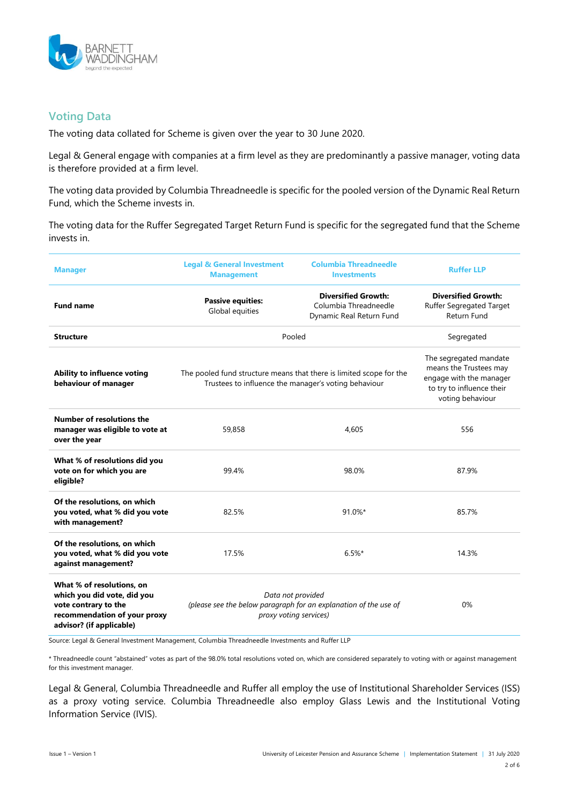

## **Voting Data**

The voting data collated for Scheme is given over the year to 30 June 2020.

Legal & General engage with companies at a firm level as they are predominantly a passive manager, voting data is therefore provided at a firm level.

The voting data provided by Columbia Threadneedle is specific for the pooled version of the Dynamic Real Return Fund, which the Scheme invests in.

The voting data for the Ruffer Segregated Target Return Fund is specific for the segregated fund that the Scheme invests in.

| <b>Manager</b>                                                                                                                               | <b>Legal &amp; General Investment</b><br><b>Columbia Threadneedle</b><br><b>Management</b><br><b>Investments</b>            |                                                                                                                              | <b>Ruffer LLP</b>                                                     |  |
|----------------------------------------------------------------------------------------------------------------------------------------------|-----------------------------------------------------------------------------------------------------------------------------|------------------------------------------------------------------------------------------------------------------------------|-----------------------------------------------------------------------|--|
| <b>Fund name</b>                                                                                                                             | <b>Passive equities:</b><br>Global equities                                                                                 | <b>Diversified Growth:</b><br>Columbia Threadneedle<br>Dynamic Real Return Fund                                              | <b>Diversified Growth:</b><br>Ruffer Segregated Target<br>Return Fund |  |
| <b>Structure</b>                                                                                                                             | Pooled                                                                                                                      | Segregated                                                                                                                   |                                                                       |  |
| Ability to influence voting<br>behaviour of manager                                                                                          | The pooled fund structure means that there is limited scope for the<br>Trustees to influence the manager's voting behaviour | The segregated mandate<br>means the Trustees may<br>engage with the manager<br>to try to influence their<br>voting behaviour |                                                                       |  |
| Number of resolutions the<br>manager was eligible to vote at<br>over the year                                                                | 59,858                                                                                                                      | 4.605                                                                                                                        | 556                                                                   |  |
| What % of resolutions did you<br>vote on for which you are<br>eligible?                                                                      | 99.4%<br>98.0%                                                                                                              |                                                                                                                              | 87.9%                                                                 |  |
| Of the resolutions, on which<br>you voted, what % did you vote<br>with management?                                                           | 82.5%<br>91.0%*                                                                                                             |                                                                                                                              | 85.7%                                                                 |  |
| Of the resolutions, on which<br>you voted, what % did you vote<br>against management?                                                        | 17.5%<br>$6.5%$ *                                                                                                           |                                                                                                                              | 14.3%                                                                 |  |
| What % of resolutions, on<br>which you did vote, did you<br>vote contrary to the<br>recommendation of your proxy<br>advisor? (if applicable) | Data not provided<br>(please see the below paragraph for an explanation of the use of<br>proxy voting services)             | 0%                                                                                                                           |                                                                       |  |

Source: Legal & General Investment Management, Columbia Threadneedle Investments and Ruffer LLP

\* Threadneedle count "abstained" votes as part of the 98.0% total resolutions voted on, which are considered separately to voting with or against management for this investment manager.

Legal & General, Columbia Threadneedle and Ruffer all employ the use of Institutional Shareholder Services (ISS) as a proxy voting service. Columbia Threadneedle also employ Glass Lewis and the Institutional Voting Information Service (IVIS).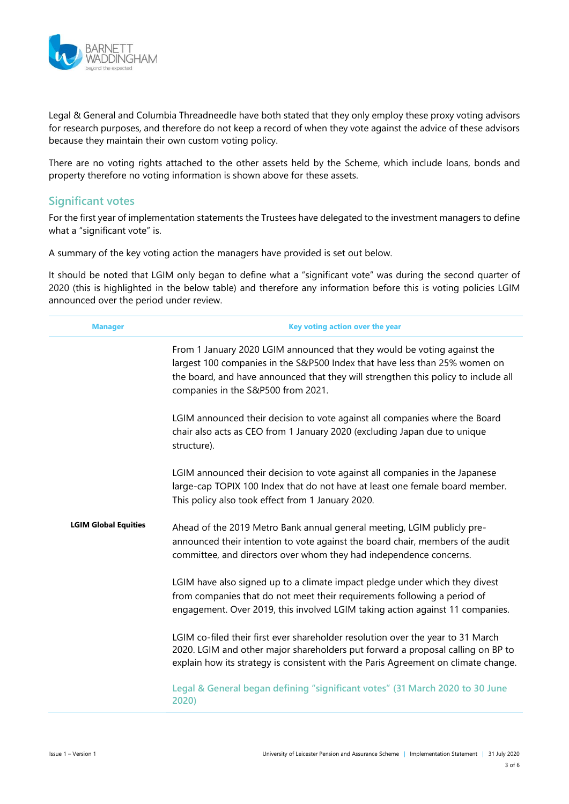

Legal & General and Columbia Threadneedle have both stated that they only employ these proxy voting advisors for research purposes, and therefore do not keep a record of when they vote against the advice of these advisors because they maintain their own custom voting policy.

There are no voting rights attached to the other assets held by the Scheme, which include loans, bonds and property therefore no voting information is shown above for these assets.

## **Significant votes**

For the first year of implementation statements the Trustees have delegated to the investment managers to define what a "significant vote" is.

A summary of the key voting action the managers have provided is set out below.

It should be noted that LGIM only began to define what a "significant vote" was during the second quarter of 2020 (this is highlighted in the below table) and therefore any information before this is voting policies LGIM announced over the period under review.

| <b>Manager</b>              | Key voting action over the year                                                                                                                                                                                                                                                    |  |  |  |  |  |
|-----------------------------|------------------------------------------------------------------------------------------------------------------------------------------------------------------------------------------------------------------------------------------------------------------------------------|--|--|--|--|--|
|                             | From 1 January 2020 LGIM announced that they would be voting against the<br>largest 100 companies in the S&P500 Index that have less than 25% women on<br>the board, and have announced that they will strengthen this policy to include all<br>companies in the S&P500 from 2021. |  |  |  |  |  |
|                             | LGIM announced their decision to vote against all companies where the Board<br>chair also acts as CEO from 1 January 2020 (excluding Japan due to unique<br>structure).                                                                                                            |  |  |  |  |  |
|                             | LGIM announced their decision to vote against all companies in the Japanese<br>large-cap TOPIX 100 Index that do not have at least one female board member.<br>This policy also took effect from 1 January 2020.                                                                   |  |  |  |  |  |
| <b>LGIM Global Equities</b> | Ahead of the 2019 Metro Bank annual general meeting, LGIM publicly pre-<br>announced their intention to vote against the board chair, members of the audit<br>committee, and directors over whom they had independence concerns.                                                   |  |  |  |  |  |
|                             | LGIM have also signed up to a climate impact pledge under which they divest<br>from companies that do not meet their requirements following a period of<br>engagement. Over 2019, this involved LGIM taking action against 11 companies.                                           |  |  |  |  |  |
|                             | LGIM co-filed their first ever shareholder resolution over the year to 31 March<br>2020. LGIM and other major shareholders put forward a proposal calling on BP to<br>explain how its strategy is consistent with the Paris Agreement on climate change.                           |  |  |  |  |  |
|                             | Legal & General began defining "significant votes" (31 March 2020 to 30 June<br>2020)                                                                                                                                                                                              |  |  |  |  |  |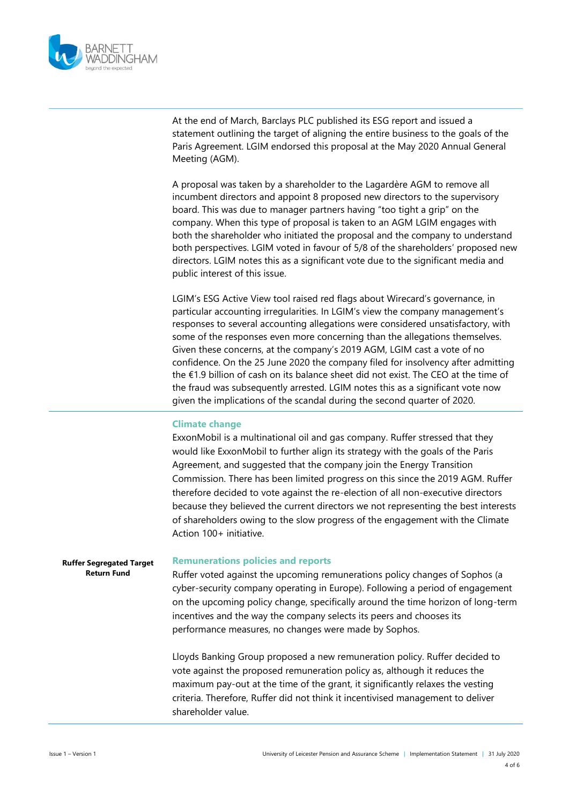

At the end of March, Barclays PLC published its ESG report and issued a statement outlining the target of aligning the entire business to the goals of the Paris Agreement. LGIM endorsed this proposal at the May 2020 Annual General Meeting (AGM).

A proposal was taken by a shareholder to the Lagardère AGM to remove all incumbent directors and appoint 8 proposed new directors to the supervisory board. This was due to manager partners having "too tight a grip" on the company. When this type of proposal is taken to an AGM LGIM engages with both the shareholder who initiated the proposal and the company to understand both perspectives. LGIM voted in favour of 5/8 of the shareholders' proposed new directors. LGIM notes this as a significant vote due to the significant media and public interest of this issue.

LGIM's ESG Active View tool raised red flags about Wirecard's governance, in particular accounting irregularities. In LGIM's view the company management's responses to several accounting allegations were considered unsatisfactory, with some of the responses even more concerning than the allegations themselves. Given these concerns, at the company's 2019 AGM, LGIM cast a vote of no confidence. On the 25 June 2020 the company filed for insolvency after admitting the €1.9 billion of cash on its balance sheet did not exist. The CEO at the time of the fraud was subsequently arrested. LGIM notes this as a significant vote now given the implications of the scandal during the second quarter of 2020.

#### **Climate change**

ExxonMobil is a multinational oil and gas company. Ruffer stressed that they would like ExxonMobil to further align its strategy with the goals of the Paris Agreement, and suggested that the company join the Energy Transition Commission. There has been limited progress on this since the 2019 AGM. Ruffer therefore decided to vote against the re-election of all non-executive directors because they believed the current directors we not representing the best interests of shareholders owing to the slow progress of the engagement with the Climate Action 100+ initiative.

### **Ruffer Segregated Target Return Fund Remunerations policies and reports** Ruffer voted against the upcoming remunerations policy changes of Sophos (a cyber-security company operating in Europe). Following a period of engagement on the upcoming policy change, specifically around the time horizon of long-term incentives and the way the company selects its peers and chooses its performance measures, no changes were made by Sophos. Lloyds Banking Group proposed a new remuneration policy. Ruffer decided to vote against the proposed remuneration policy as, although it reduces the

maximum pay-out at the time of the grant, it significantly relaxes the vesting criteria. Therefore, Ruffer did not think it incentivised management to deliver shareholder value.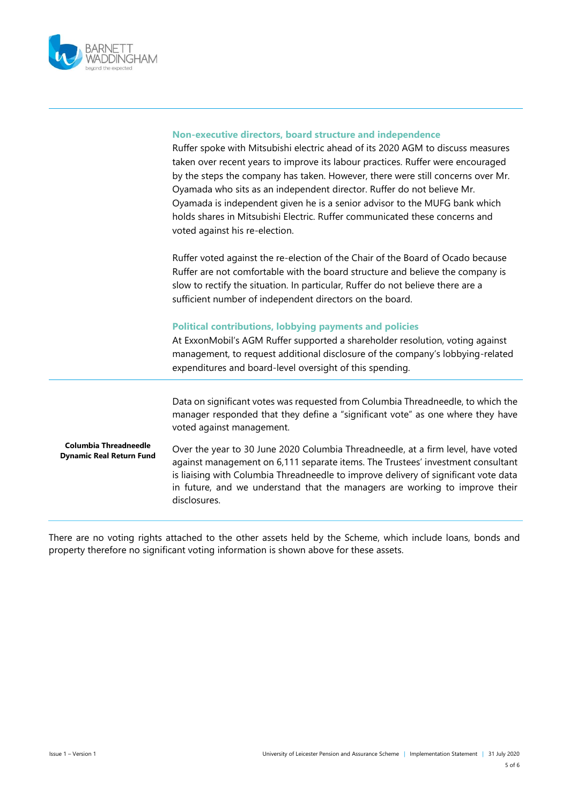

|                                                                 | Non-executive directors, board structure and independence<br>Ruffer spoke with Mitsubishi electric ahead of its 2020 AGM to discuss measures<br>taken over recent years to improve its labour practices. Ruffer were encouraged<br>by the steps the company has taken. However, there were still concerns over Mr.<br>Oyamada who sits as an independent director. Ruffer do not believe Mr.<br>Oyamada is independent given he is a senior advisor to the MUFG bank which<br>holds shares in Mitsubishi Electric. Ruffer communicated these concerns and<br>voted against his re-election. |
|-----------------------------------------------------------------|---------------------------------------------------------------------------------------------------------------------------------------------------------------------------------------------------------------------------------------------------------------------------------------------------------------------------------------------------------------------------------------------------------------------------------------------------------------------------------------------------------------------------------------------------------------------------------------------|
|                                                                 | Ruffer voted against the re-election of the Chair of the Board of Ocado because<br>Ruffer are not comfortable with the board structure and believe the company is<br>slow to rectify the situation. In particular, Ruffer do not believe there are a<br>sufficient number of independent directors on the board.                                                                                                                                                                                                                                                                            |
|                                                                 | <b>Political contributions, lobbying payments and policies</b><br>At ExxonMobil's AGM Ruffer supported a shareholder resolution, voting against<br>management, to request additional disclosure of the company's lobbying-related<br>expenditures and board-level oversight of this spending.                                                                                                                                                                                                                                                                                               |
|                                                                 | Data on significant votes was requested from Columbia Threadneedle, to which the<br>manager responded that they define a "significant vote" as one where they have<br>voted against management.                                                                                                                                                                                                                                                                                                                                                                                             |
| <b>Columbia Threadneedle</b><br><b>Dynamic Real Return Fund</b> | Over the year to 30 June 2020 Columbia Threadneedle, at a firm level, have voted<br>against management on 6,111 separate items. The Trustees' investment consultant<br>is liaising with Columbia Threadneedle to improve delivery of significant vote data<br>in future, and we understand that the managers are working to improve their<br>disclosures.                                                                                                                                                                                                                                   |

There are no voting rights attached to the other assets held by the Scheme, which include loans, bonds and property therefore no significant voting information is shown above for these assets.